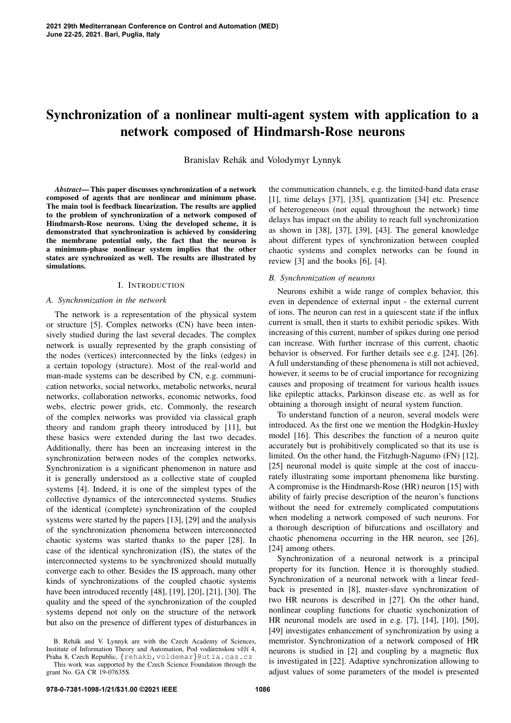# Synchronization of a nonlinear multi-agent system with application to a network composed of Hindmarsh-Rose neurons

Branislav Rehák and Volodymyr Lynnyk

*Abstract*— This paper discusses synchronization of a network composed of agents that are nonlinear and minimum phase. The main tool is feedback linearization. The results are applied to the problem of synchronization of a network composed of Hindmarsh-Rose neurons. Using the developed scheme, it is demonstrated that synchronization is achieved by considering the membrane potential only, the fact that the neuron is a minimum-phase nonlinear system implies that the other states are synchronized as well. The results are illustrated by simulations.

## I. INTRODUCTION

#### *A. Synchronization in the network*

The network is a representation of the physical system or structure [5]. Complex networks (CN) have been intensively studied during the last several decades. The complex network is usually represented by the graph consisting of the nodes (vertices) interconnected by the links (edges) in a certain topology (structure). Most of the real-world and man-made systems can be described by CN, e.g. communication networks, social networks, metabolic networks, neural networks, collaboration networks, economic networks, food webs, electric power grids, etc. Commonly, the research of the complex networks was provided via classical graph theory and random graph theory introduced by [11], but these basics were extended during the last two decades. Additionally, there has been an increasing interest in the synchronization between nodes of the complex networks. Synchronization is a significant phenomenon in nature and it is generally understood as a collective state of coupled systems [4]. Indeed, it is one of the simplest types of the collective dynamics of the interconnected systems. Studies of the identical (complete) synchronization of the coupled systems were started by the papers [13], [29] and the analysis of the synchronization phenomena between interconnected chaotic systems was started thanks to the paper [28]. In case of the identical synchronization (IS), the states of the interconnected systems to be synchronized should mutually converge each to other. Besides the IS approach, many other kinds of synchronizations of the coupled chaotic systems have been introduced recently [48], [19], [20], [21], [30]. The quality and the speed of the synchronization of the coupled systems depend not only on the structure of the network but also on the presence of different types of disturbances in

the communication channels, e.g. the limited-band data erase [1], time delays [37], [35], quantization [34] etc. Presence of heterogeneous (not equal throughout the network) time delays has impact on the ability to reach full synchronization as shown in [38], [37], [39], [43]. The general knowledge about different types of synchronization between coupled chaotic systems and complex networks can be found in review [3] and the books [6], [4].

#### *B. Synchronization of neurons*

Neurons exhibit a wide range of complex behavior, this even in dependence of external input - the external current of ions. The neuron can rest in a quiescent state if the influx current is small, then it starts to exhibit periodic spikes. With increasing of this current, number of spikes during one period can increase. With further increase of this current, chaotic behavior is observed. For further details see e.g. [24], [26]. A full understanding of these phenomena is still not achieved, however, it seems to be of crucial importance for recognizing causes and proposing of treatment for various health issues like epileptic attacks, Parkinson disease etc. as well as for obtaining a thorough insight of neural system function.

To understand function of a neuron, several models were introduced. As the first one we mention the Hodgkin-Huxley model [16]. This describes the function of a neuron quite accurately but is prohibitively complicated so that its use is limited. On the other hand, the Fitzhugh-Nagumo (FN) [12], [25] neuronal model is quite simple at the cost of inaccurately illustrating some important phenomena like bursting. A compromise is the Hindmarsh-Rose (HR) neuron [15] with ability of fairly precise description of the neuron's functions without the need for extremely complicated computations when modeling a network composed of such neurons. For a thorough description of bifurcations and oscillatory and chaotic phenomena occurring in the HR neuron, see [26], [24] among others.

Synchronization of a neuronal network is a principal property for its function. Hence it is thoroughly studied. Synchronization of a neuronal network with a linear feedback is presented in [8], master-slave synchronization of two HR neurons is described in [27]. On the other hand, nonlinear coupling functions for chaotic synchonization of HR neuronal models are used in e.g. [7], [14], [10], [50], [49] investigates enhancement of synchronization by using a memristor. Synchronization of a network composed of HR neurons is studied in [2] and coupling by a magnetic flux is investigated in [22]. Adaptive synchronization allowing to adjust values of some parameters of the model is presented

B. Rehák and V. Lynnyk are with the Czech Academy of Sciences, Institute of Information Theory and Automation, Pod vodárenskou věží 4, Praha 8, Czech Republic, {rehakb, voldemar}@utia.cas.cz This work was supported by the Czech Science Foundation through the grant No. GA CR 19-07635S.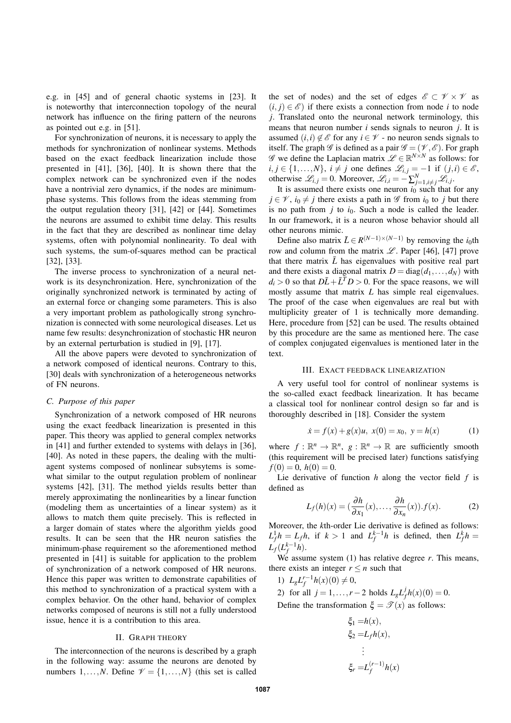e.g. in [45] and of general chaotic systems in [23]. It is noteworthy that interconnection topology of the neural network has influence on the firing pattern of the neurons as pointed out e.g. in [51].

For synchronization of neurons, it is necessary to apply the methods for synchronization of nonlinear systems. Methods based on the exact feedback linearization include those presented in [41], [36], [40]. It is shown there that the complex network can be synchronized even if the nodes have a nontrivial zero dynamics, if the nodes are minimumphase systems. This follows from the ideas stemming from the output regulation theory [31], [42] or [44]. Sometimes the neurons are assumed to exhibit time delay. This results in the fact that they are described as nonlinear time delay systems, often with polynomial nonlinearity. To deal with such systems, the sum-of-squares method can be practical [32], [33].

The inverse process to synchronization of a neural network is its desynchronization. Here, synchronization of the originally synchronized network is terminated by acting of an external force or changing some parameters. This is also a very important problem as pathologically strong synchronization is connected with some neurological diseases. Let us name few results: desynchronization of stochastic HR neuron by an external perturbation is studied in [9], [17].

All the above papers were devoted to synchronization of a network composed of identical neurons. Contrary to this, [30] deals with synchronization of a heterogeneous networks of FN neurons.

## *C. Purpose of this paper*

Synchronization of a network composed of HR neurons using the exact feedback linearization is presented in this paper. This theory was applied to general complex networks in [41] and further extended to systems with delays in [36], [40]. As noted in these papers, the dealing with the multiagent systems composed of nonlinear subsytems is somewhat similar to the output regulation problem of nonlinear systems [42], [31]. The method yields results better than merely approximating the nonlinearities by a linear function (modeling them as uncertainties of a linear system) as it allows to match them quite precisely. This is reflected in a larger domain of states where the algorithm yields good results. It can be seen that the HR neuron satisfies the minimum-phase requirement so the aforementioned method presented in [41] is suitable for application to the problem of synchronization of a network composed of HR neurons. Hence this paper was written to demonstrate capabilities of this method to synchronization of a practical system with a complex behavior. On the other hand, behavior of complex networks composed of neurons is still not a fully understood issue, hence it is a contribution to this area.

# II. GRAPH THEORY

The interconnection of the neurons is described by a graph in the following way: assume the neurons are denoted by numbers  $1, \ldots, N$ . Define  $\mathcal{V} = \{1, \ldots, N\}$  (this set is called

the set of nodes) and the set of edges  $\mathscr{E} \subset \mathscr{V} \times \mathscr{V}$  as  $(i, j) \in \mathcal{E}$  if there exists a connection from node *i* to node *j*. Translated onto the neuronal network terminology, this means that neuron number *i* sends signals to neuron *j*. It is assumed  $(i, i) \notin \mathcal{E}$  for any  $i \in \mathcal{V}$  - no neuron sends signals to itself. The graph  $\mathscr G$  is defined as a pair  $\mathscr G = (\mathscr V, \mathscr E)$ . For graph *G* we define the Laplacian matrix  $\mathcal{L} \in \mathbb{R}^{N \times N}$  as follows: for  $i, j \in \{1, \ldots, N\}, i \neq j$  one defines  $\mathcal{L}_{i,j} = -1$  if  $(j,i) \in \mathcal{E}$ , otherwise  $\mathcal{L}_{i,j} = 0$ . Moreover,  $\mathcal{L}_{i,i} = -\sum_{j=1, i \neq j}^{N} \mathcal{L}_{i,j}$ .

It is assumed there exists one neuron  $i_0$  such that for any  $j \in \mathcal{V}$ ,  $i_0 \neq j$  there exists a path in  $\mathcal G$  from  $i_0$  to *j* but there is no path from  $j$  to  $i_0$ . Such a node is called the leader. In our framework, it is a neuron whose behavior should all other neurons mimic.

Define also matrix  $\bar{L} \in R^{(N-1)\times(N-1)}$  by removing the *i*<sub>0</sub>th row and column from the matrix  $\mathscr{L}$ . Paper [46], [47] prove that there matrix  $\bar{L}$  has eigenvalues with positive real part and there exists a diagonal matrix  $D = diag(d_1, \ldots, d_N)$  with  $d_i > 0$  so that  $D\overline{L} + \overline{L}^T D > 0$ . For the space reasons, we will mostly assume that matrix *L* has simple real eigenvalues. The proof of the case when eigenvalues are real but with multiplicity greater of 1 is technically more demanding. Here, procedure from [52] can be used. The results obtained by this procedure are the same as mentioned here. The case of complex conjugated eigenvalues is mentioned later in the text.

#### III. EXACT FEEDBACK LINEARIZATION

A very useful tool for control of nonlinear systems is the so-called exact feedback linearization. It has became a classical tool for nonlinear control design so far and is thoroughly described in [18]. Consider the system

$$
\dot{x} = f(x) + g(x)u, \ x(0) = x_0, \ y = h(x) \tag{1}
$$

where  $f: \mathbb{R}^n \to \mathbb{R}^n$ ,  $g: \mathbb{R}^n \to \mathbb{R}$  are sufficiently smooth (this requirement will be precised later) functions satisfying  $f(0) = 0, h(0) = 0.$ 

Lie derivative of function *h* along the vector field *f* is defined as

$$
L_f(h)(x) = \left(\frac{\partial h}{\partial x_1}(x), \dots, \frac{\partial h}{\partial x_n}(x)\right) . f(x). \tag{2}
$$

Moreover, the *k*th-order Lie derivative is defined as follows:  $L_f^1 h = L_f h$ , if  $k > 1$  and  $L_f^{k-1} h$  is defined, then  $L_f^k h =$  $L_f(L_f^{k-1}h)$ .

We assume system (1) has relative degree *r*. This means, there exists an integer  $r \leq n$  such that

1)  $L_g L_f^{r-1} h(x)(0) \neq 0$ ,

2) for all  $j = 1, ..., r - 2$  holds  $L_g L_j^j$  $f_f^f h(x)(0) = 0.$ Define the transformation  $\xi = \mathcal{T}(x)$  as follows:

$$
\xi_1 = h(x),
$$
  
\n
$$
\xi_2 = L_f h(x),
$$
  
\n
$$
\vdots
$$
  
\n
$$
\xi_r = L_f^{(r-1)} h(x)
$$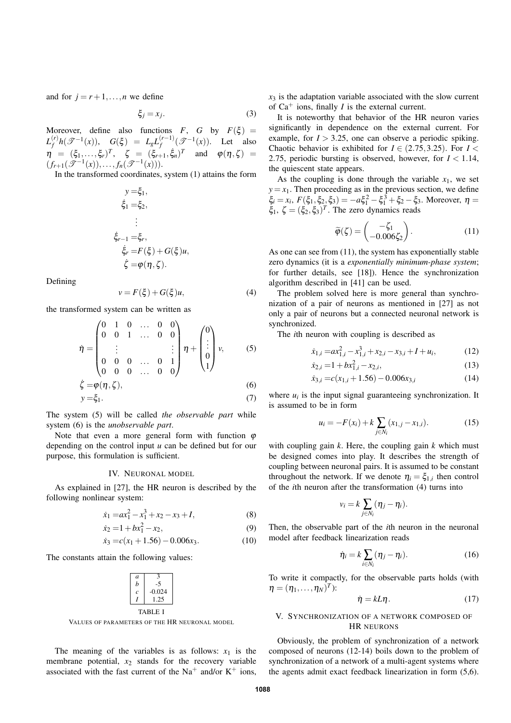and for  $j = r+1, \ldots, n$  we define

$$
\xi_j = x_j. \tag{3}
$$

Moreover, define also functions  $F$ ,  $G$  by  $F(\xi) =$  $L_f^{(r)}$  $f_f^{(r)} h(\mathscr{T}^{-1}(x)), \quad G(\xi) \; = \; L_g L_f^{(r-1)}$  $f_f^{(r-1)}(\mathscr{T}^{-1}(x))$ . Let also  $\eta$  =  $(\xi_1, \ldots, \xi_r)^T$ ,  $\zeta$  =  $(\xi_{r+1}, \xi_n)^T$  and  $\varphi(\eta, \zeta)$  =  $(f_{r+1}(\mathscr{T}^{-1}(x)),...,f_n(\mathscr{T}^{-1}(x))).$ 

In the transformed coordinates, system (1) attains the form

$$
y = \xi_1,
$$
  
\n
$$
\xi_1 = \xi_2,
$$
  
\n
$$
\vdots
$$
  
\n
$$
\xi_{r-1} = \xi_r,
$$
  
\n
$$
\xi_r = F(\xi) + G(\xi)u,
$$
  
\n
$$
\zeta = \varphi(\eta, \zeta).
$$

Defining

$$
v = F(\xi) + G(\xi)u,\tag{4}
$$

the transformed system can be written as

$$
\eta = \begin{pmatrix}\n0 & 1 & 0 & \dots & 0 & 0 \\
0 & 0 & 1 & \dots & 0 & 0 \\
\vdots & & & & \vdots \\
0 & 0 & 0 & \dots & 0 & 1 \\
0 & 0 & 0 & \dots & 0 & 0\n\end{pmatrix}\n\eta + \begin{pmatrix}\n0 \\
\vdots \\
0 \\
1\n\end{pmatrix}\nu, \qquad (5)
$$
\n
$$
\zeta = \varphi(\eta, \zeta), \qquad (6)
$$
\n
$$
y = \xi_1. \qquad (7)
$$

The system (5) will be called *the observable part* while system (6) is the *unobservable part*.

Note that even a more general form with function  $\varphi$ depending on the control input *u* can be defined but for our purpose, this formulation is sufficient.

## IV. NEURONAL MODEL

As explained in [27], the HR neuron is described by the following nonlinear system:

$$
\dot{x}_1 = ax_1^2 - x_1^3 + x_2 - x_3 + I,\tag{8}
$$
\n
$$
\dot{x}_1 = 1 + bx^2, \quad x_2 = 0
$$

$$
\dot{x}_2 = 1 + bx_1^2 - x_2,\tag{9}
$$

$$
\dot{x}_3 = c(x_1 + 1.56) - 0.006x_3. \tag{10}
$$

The constants attain the following values:

| a    |          |
|------|----------|
| h    | -5       |
| c    | $-0.024$ |
|      | 1.25     |
| \BLE |          |

VALUES OF PARAMETERS OF THE HR NEURONAL MODEL

The meaning of the variables is as follows:  $x_1$  is the membrane potential, *x*<sup>2</sup> stands for the recovery variable associated with the fast current of the Na<sup>+</sup> and/or  $K^+$  ions,

 $x_3$  is the adaptation variable associated with the slow current of  $Ca^+$  ions, finally *I* is the external current.

It is noteworthy that behavior of the HR neuron varies significantly in dependence on the external current. For example, for  $I > 3.25$ , one can observe a periodic spiking. Chaotic behavior is exhibited for  $I \in (2.75, 3.25)$ . For  $I \leq$ 2.75, periodic bursting is observed, however, for  $I < 1.14$ , the quiescent state appears.

As the coupling is done through the variable  $x_1$ , we set  $y = x_1$ . Then proceeding as in the previous section, we define  $\xi_i = x_i$ ,  $F(\xi_1, \xi_2, \xi_3) = -a\xi_1^2 - \xi_1^3 + \xi_2 - \xi_3$ . Moreover,  $\eta =$  $\xi_1$ ,  $\zeta = (\xi_2, \xi_3)^T$ . The zero dynamics reads

$$
\widetilde{\varphi}(\zeta) = \begin{pmatrix} -\zeta_1 \\ -0.006\zeta_2 \end{pmatrix} . \tag{11}
$$

As one can see from (11), the system has exponentially stable zero dynamics (it is a *exponentially minimum-phase system*; for further details, see [18]). Hence the synchronization algorithm described in [41] can be used.

The problem solved here is more general than synchronization of a pair of neurons as mentioned in [27] as not only a pair of neurons but a connected neuronal network is synchronized.

The *i*th neuron with coupling is described as

$$
\dot{x}_{1,i} = ax_{1,i}^2 - x_{1,i}^3 + x_{2,i} - x_{3,i} + I + u_i, \tag{12}
$$

$$
\dot{x}_{2,i} = 1 + bx_{1,i}^2 - x_{2,i},\tag{13}
$$

$$
\dot{x}_{3,i} = c(x_{1,i} + 1.56) - 0.006x_{3,i} \tag{14}
$$

where  $u_i$  is the input signal guaranteeing synchronization. It is assumed to be in form

$$
u_i = -F(x_i) + k \sum_{j \in N_i} (x_{1,j} - x_{1,i}).
$$
 (15)

with coupling gain *k*. Here, the coupling gain *k* which must be designed comes into play. It describes the strength of coupling between neuronal pairs. It is assumed to be constant throughout the network. If we denote  $\eta_i = \xi_{1,i}$  then control of the *i*th neuron after the transformation (4) turns into

$$
v_i = k \sum_{j \in N_i} (\eta_j - \eta_i).
$$

Then, the observable part of the *i*th neuron in the neuronal model after feedback linearization reads

$$
\dot{\eta}_i = k \sum_{i \in N_i} (\eta_j - \eta_i). \tag{16}
$$

To write it compactly, for the observable parts holds (with  $\boldsymbol{\eta} = (\eta_1, \ldots, \eta_N)^T$ :

$$
\dot{\eta} = kL\eta. \tag{17}
$$

# V. SYNCHRONIZATION OF A NETWORK COMPOSED OF HR NEURONS

Obviously, the problem of synchronization of a network composed of neurons (12-14) boils down to the problem of synchronization of a network of a multi-agent systems where the agents admit exact feedback linearization in form (5,6).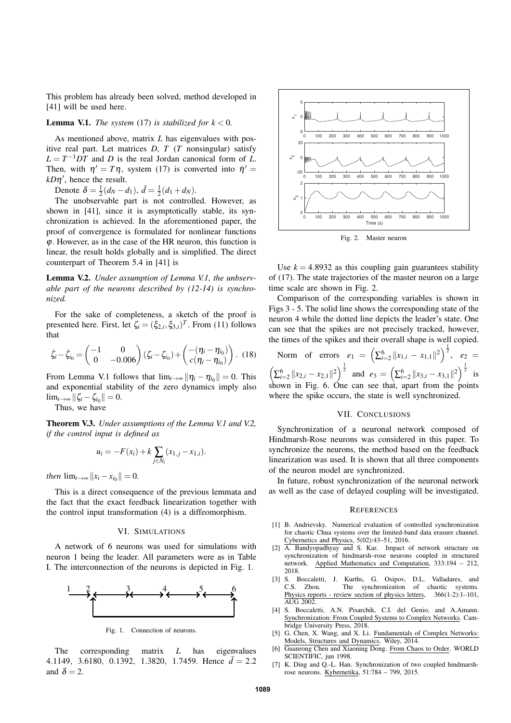This problem has already been solved, method developed in [41] will be used here.

# **Lemma V.1.** *The system* (17) *is stabilized for*  $k < 0$ *.*

As mentioned above, matrix *L* has eigenvalues with positive real part. Let matrices *D*, *T* (*T* nonsingular) satisfy  $L = T^{-1}DT$  and *D* is the real Jordan canonical form of *L*. Then, with  $\eta' = T\eta$ , system (17) is converted into  $\dot{\eta}' =$  $kD\eta'$ , hence the result.

Denote  $\delta = \frac{1}{2}(d_N - d_1), \, \bar{d} = \frac{1}{2}(d_1 + d_N).$ 

The unobservable part is not controlled. However, as shown in [41], since it is asymptotically stable, its synchronization is achieved. In the aforementioned paper, the proof of convergence is formulated for nonlinear functions ϕ. However, as in the case of the HR neuron, this function is linear, the result holds globally and is simplified. The direct counterpart of Theorem 5.4 in [41] is

Lemma V.2. *Under assumption of Lemma V.1, the unbservable part of the neurons described by (12-14) is synchronized.*

For the sake of completeness, a sketch of the proof is presented here. First, let  $\zeta_i = (\xi_{2,i}, \xi_{3,i})^T$ . From (11) follows that

$$
\dot{\zeta}_i - \dot{\zeta}_{i_0} = \begin{pmatrix} -1 & 0 \\ 0 & -0.006 \end{pmatrix} (\zeta_i - \zeta_{i_0}) + \begin{pmatrix} -(\eta_i - \eta_{i_0}) \\ c(\eta_i - \eta_{i_0}) \end{pmatrix} . (18)
$$

From Lemma V.1 follows that  $\lim_{t\to\infty} ||\eta_i - \eta_{i_0}|| = 0$ . This and exponential stability of the zero dynamics imply also  $\lim_{t\to\infty} \|\zeta_i - \zeta_{i_0}\| = 0.$ 

Thus, we have

Theorem V.3. *Under assumptions of the Lemma V.1 and V.2, if the control input is defined as*

$$
u_i = -F(x_i) + k \sum_{j \in N_i} (x_{1,j} - x_{1,i}).
$$

*then*  $\lim_{t \to \infty} ||x_i - x_{i_0}|| = 0.$ 

This is a direct consequence of the previous lemmata and the fact that the exact feedback linearization together with the control input transformation (4) is a diffeomorphism.

#### VI. SIMULATIONS

A network of 6 neurons was used for simulations with neuron 1 being the leader. All parameters were as in Table I. The interconnection of the neurons is depicted in Fig. 1.



Fig. 1. Connection of neurons.

The corresponding matrix *L* has eigenvalues 4.1149, 3.6180, 0.1392, 1.3820, 1.7459. Hence  $\bar{d} = 2.2$ and  $\delta = 2$ .



Fig. 2. Master neuron

Use  $k = 4.8932$  as this coupling gain guarantees stability of (17). The state trajectories of the master neuron on a large time scale are shown in Fig. 2.

Comparison of the corresponding variables is shown in Figs 3 - 5. The solid line shows the corresponding state of the neuron 4 while the dotted line depicts the leader's state. One can see that the spikes are not precisely tracked, however, the times of the spikes and their overall shape is well copied.

Norm of errors  $e_1 = \left( \sum_{i=2}^6 ||x_{1,i} - x_{1,1}||^2 \right)^{\frac{1}{2}}, e_2 =$  $\left(\sum_{i=2}^{6}||x_{2,i}-x_{2,1}||^2\right)^{\frac{1}{2}}$  and  $e_3 = \left(\sum_{i=2}^{6}||x_{3,i}-x_{3,1}||^2\right)^{\frac{1}{2}}$  is shown in Fig. 6. One can see that, apart from the points where the spike occurs, the state is well synchronized.

#### VII. CONCLUSIONS

Synchronization of a neuronal network composed of Hindmarsh-Rose neurons was considered in this paper. To synchronize the neurons, the method based on the feedback linearization was used. It is shown that all three components of the neuron model are synchronized.

In future, robust synchronization of the neuronal network as well as the case of delayed coupling will be investigated.

## **REFERENCES**

- [1] B. Andrievsky. Numerical evaluation of controlled synchronization for chaotic Chua systems over the limited-band data erasure channel. Cybernetics and Physics, 5(02):43–51, 2016.
- [2] A. Bandyopadhyay and S. Kar. Impact of network structure on synchronization of hindmarsh–rose neurons coupled in structured network. Applied Mathematics and Computation, 333:194 – 212, 2018.<br>[3] S. Boccaletti.
- J. Kurths, G. Osipov, D.L. Valladares, and C.S. Zhou. The synchronization of chaotic systems.<br>Physics reports - review section of physics letters,  $366(1-2)! -101$ , Physics reports - review section of physics letters, AUG 2002.
- [4] S. Boccaletti, A.N. Pisarchik, C.I. del Genio, and A.Amann. Synchronization: From Coupled Systems to Complex Networks. Cambridge University Press, 2018.
- [5] G. Chen, X. Wang, and X. Li. Fundamentals of Complex Networks: Models, Structures and Dynamics. Wiley, 2014.
- [6] Guanrong Chen and Xiaoning Dong. From Chaos to Order. WORLD SCIENTIFIC, jun 1998.
- K. Ding and Q.-L. Han. Synchronization of two coupled hindmarshrose neurons. Kybernetika, 51:784 – 799, 2015.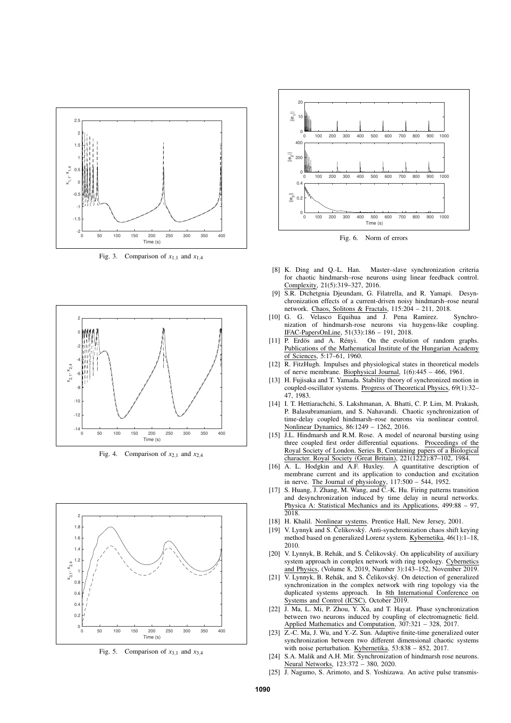

Fig. 3. Comparison of  $x_{1,1}$  and  $x_{1,4}$ 



Fig. 4. Comparison of  $x_{2,1}$  and  $x_{2,4}$ 



Fig. 5. Comparison of  $x_{3,1}$  and  $x_{3,4}$ 



Fig. 6. Norm of errors

- [8] K. Ding and Q.-L. Han. Master–slave synchronization criteria for chaotic hindmarsh–rose neurons using linear feedback control. Complexity, 21(5):319–327, 2016.
- [9] S.R. Dtchetgnia Djeundam, G. Filatrella, and R. Yamapi. Desynchronization effects of a current-driven noisy hindmarsh–rose neural network. Chaos, Solitons & Fractals, 115:204 – 211, 2018.
- [10] G. G. Velasco Equihua and J. Pena Ramirez. Synchronization of hindmarsh-rose neurons via huygens-like coupling. IFAC-PapersOnLine, 51(33):186 – 191, 2018.
- [11] P. Erdös and A. Rényi. On the evolution of random graphs. Publications of the Mathematical Institute of the Hungarian Academy of Sciences, 5:17–61, 1960.
- [12] R. FitzHugh. Impulses and physiological states in theoretical models of nerve membrane. Biophysical Journal, 1(6):445 – 466, 1961.
- [13] H. Fujisaka and T. Yamada. Stability theory of synchronized motion in coupled-oscillator systems. Progress of Theoretical Physics, 69(1):32– 47, 1983.
- [14] I. T. Hettiarachchi, S. Lakshmanan, A. Bhatti, C. P. Lim, M. Prakash, P. Balasubramaniam, and S. Nahavandi. Chaotic synchronization of time-delay coupled hindmarsh–rose neurons via nonlinear control. Nonlinear Dynamics, 86:1249 – 1262, 2016.
- [15] J.L. Hindmarsh and R.M. Rose. A model of neuronal bursting using three coupled first order differential equations. Proceedings of the Royal Society of London. Series B, Containing papers of a Biological character. Royal Society (Great Britain), 221(1222):87–102, 1984.
- [16] A. L. Hodgkin and A.F. Huxley. A quantitative description of membrane current and its application to conduction and excitation in nerve. The Journal of physiology,  $117:500 - 544$ , 1952.
- [17] S. Huang, J. Zhang, M. Wang, and C.-K. Hu. Firing patterns transition and desynchronization induced by time delay in neural networks. Physica A: Statistical Mechanics and its Applications, 499:88 – 97, 2018.
- [18] H. Khalil. Nonlinear systems. Prentice Hall, New Jersey, 2001.
- [19] V. Lynnyk and S. Čelikovský. Anti-synchronization chaos shift keying method based on generalized Lorenz system. Kybernetika, 46(1):1–18, 2010.
- [20] V. Lynnyk, B. Rehák, and S. Čelikovský. On applicability of auxiliary system approach in complex network with ring topology. Cybernetics and Physics, (Volume 8, 2019, Number 3):143–152, November 2019.
- [21] V. Lynnyk, B. Rehák, and S. Čelikovský. On detection of generalized synchronization in the complex network with ring topology via the duplicated systems approach. In 8th International Conference on Systems and Control (ICSC), October 2019.
- [22] J. Ma, L. Mi, P. Zhou, Y. Xu, and T. Hayat. Phase synchronization between two neurons induced by coupling of electromagnetic field. Applied Mathematics and Computation, 307:321 – 328, 2017.
- [23] Z.-C. Ma, J. Wu, and Y.-Z. Sun. Adaptive finite-time generalized outer synchronization between two different dimensional chaotic systems with noise perturbation. Kybernetika, 53:838 – 852, 2017.
- [24] S.A. Malik and A.H. Mir. Synchronization of hindmarsh rose neurons. Neural Networks, 123:372 – 380, 2020.
- [25] J. Nagumo, S. Arimoto, and S. Yoshizawa. An active pulse transmis-